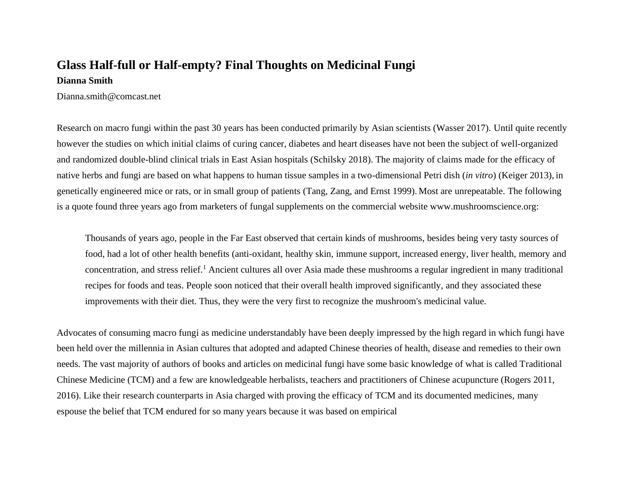# **Glass Half-full or Half-empty? Final Thoughts on Medicinal Fungi Dianna Smith**

Dianna.smith@comcast.net

Research on macro fungi within the past 30 years has been conducted primarily by Asian scientists (Wasser 2017). Until quite recently however the studies on which initial claims of curing cancer, diabetes and heart diseases have not been the subject of well-organized and randomized double-blind clinical trials in East Asian hospitals (Schilsky 2018). The majority of claims made for the efficacy of native herbs and fungi are based on what happens to human tissue samples in a two-dimensional Petri dish (*in vitro*) (Keiger 2013), in genetically engineered mice or rats, or in small group of patients (Tang, Zang, and Ernst 1999). Most are unrepeatable. The following is a quote found three years ago from marketers of fungal supplements on the commercial website www.mushroomscience.org:

Thousands of years ago, people in the Far East observed that certain kinds of mushrooms, besides being very tasty sources of food, had a lot of other health benefits (anti-oxidant, healthy skin, immune support, increased energy, liver health, memory and concentration, and stress relief.<sup>1</sup> Ancient cultures all over Asia made these mushrooms a regular ingredient in many traditional recipes for foods and teas. People soon noticed that their overall health improved significantly, and they associated these improvements with their diet. Thus, they were the very first to recognize the mushroom's medicinal value.

Advocates of consuming macro fungi as medicine understandably have been deeply impressed by the high regard in which fungi have been held over the millennia in Asian cultures that adopted and adapted Chinese theories of health, disease and remedies to their own needs. The vast majority of authors of books and articles on medicinal fungi have some basic knowledge of what is called Traditional Chinese Medicine (TCM) and a few are knowledgeable herbalists, teachers and practitioners of Chinese acupuncture (Rogers 2011, 2016). Like their research counterparts in Asia charged with proving the efficacy of TCM and its documented medicines, many espouse the belief that TCM endured for so many years because it was based on empirical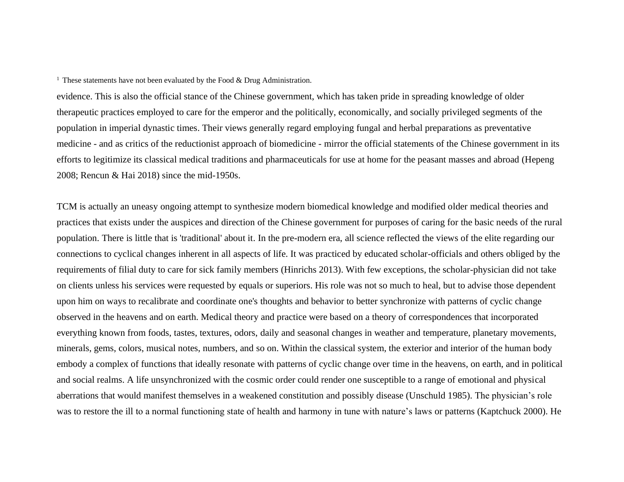<sup>1</sup> These statements have not been evaluated by the Food  $\&$  Drug Administration.

evidence. This is also the official stance of the Chinese government, which has taken pride in spreading knowledge of older therapeutic practices employed to care for the emperor and the politically, economically, and socially privileged segments of the population in imperial dynastic times. Their views generally regard employing fungal and herbal preparations as preventative medicine - and as critics of the reductionist approach of biomedicine - mirror the official statements of the Chinese government in its efforts to legitimize its classical medical traditions and pharmaceuticals for use at home for the peasant masses and abroad (Hepeng 2008; Rencun & Hai 2018) since the mid-1950s.

TCM is actually an uneasy ongoing attempt to synthesize modern biomedical knowledge and modified older medical theories and practices that exists under the auspices and direction of the Chinese government for purposes of caring for the basic needs of the rural population. There is little that is 'traditional' about it. In the pre-modern era, all science reflected the views of the elite regarding our connections to cyclical changes inherent in all aspects of life. It was practiced by educated scholar-officials and others obliged by the requirements of filial duty to care for sick family members (Hinrichs 2013). With few exceptions, the scholar-physician did not take on clients unless his services were requested by equals or superiors. His role was not so much to heal, but to advise those dependent upon him on ways to recalibrate and coordinate one's thoughts and behavior to better synchronize with patterns of cyclic change observed in the heavens and on earth. Medical theory and practice were based on a theory of correspondences that incorporated everything known from foods, tastes, textures, odors, daily and seasonal changes in weather and temperature, planetary movements, minerals, gems, colors, musical notes, numbers, and so on. Within the classical system, the exterior and interior of the human body embody a complex of functions that ideally resonate with patterns of cyclic change over time in the heavens, on earth, and in political and social realms. A life unsynchronized with the cosmic order could render one susceptible to a range of emotional and physical aberrations that would manifest themselves in a weakened constitution and possibly disease (Unschuld 1985). The physician's role was to restore the ill to a normal functioning state of health and harmony in tune with nature's laws or patterns (Kaptchuck 2000). He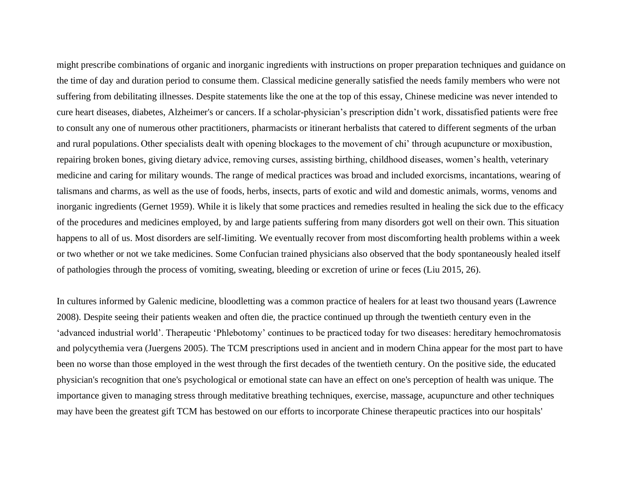might prescribe combinations of organic and inorganic ingredients with instructions on proper preparation techniques and guidance on the time of day and duration period to consume them. Classical medicine generally satisfied the needs family members who were not suffering from debilitating illnesses. Despite statements like the one at the top of this essay, Chinese medicine was never intended to cure heart diseases, diabetes, Alzheimer's or cancers. If a scholar-physician's prescription didn't work, dissatisfied patients were free to consult any one of numerous other practitioners, pharmacists or itinerant herbalists that catered to different segments of the urban and rural populations. Other specialists dealt with opening blockages to the movement of chi' through acupuncture or moxibustion, repairing broken bones, giving dietary advice, removing curses, assisting birthing, childhood diseases, women's health, veterinary medicine and caring for military wounds. The range of medical practices was broad and included exorcisms, incantations, wearing of talismans and charms, as well as the use of foods, herbs, insects, parts of exotic and wild and domestic animals, worms, venoms and inorganic ingredients (Gernet 1959). While it is likely that some practices and remedies resulted in healing the sick due to the efficacy of the procedures and medicines employed, by and large patients suffering from many disorders got well on their own. This situation happens to all of us. Most disorders are self-limiting. We eventually recover from most discomforting health problems within a week or two whether or not we take medicines. Some Confucian trained physicians also observed that the body spontaneously healed itself of pathologies through the process of vomiting, sweating, bleeding or excretion of urine or feces (Liu 2015, 26).

In cultures informed by Galenic medicine, bloodletting was a common practice of healers for at least two thousand years (Lawrence 2008). Despite seeing their patients weaken and often die, the practice continued up through the twentieth century even in the 'advanced industrial world'. Therapeutic 'Phlebotomy' continues to be practiced today for two diseases: hereditary hemochromatosis and polycythemia vera (Juergens 2005). The TCM prescriptions used in ancient and in modern China appear for the most part to have been no worse than those employed in the west through the first decades of the twentieth century. On the positive side, the educated physician's recognition that one's psychological or emotional state can have an effect on one's perception of health was unique. The importance given to managing stress through meditative breathing techniques, exercise, massage, acupuncture and other techniques may have been the greatest gift TCM has bestowed on our efforts to incorporate Chinese therapeutic practices into our hospitals'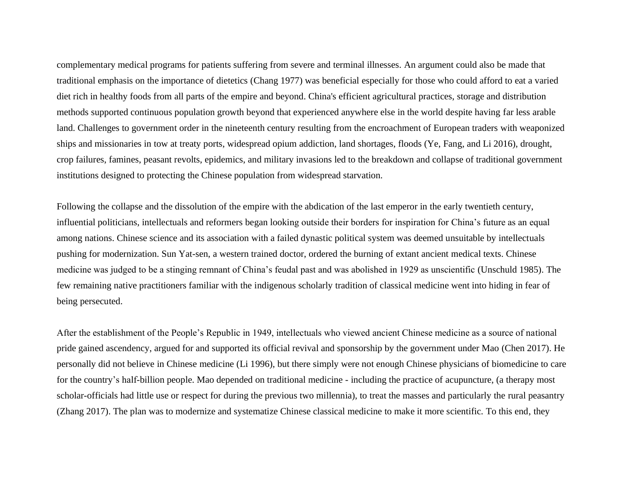complementary medical programs for patients suffering from severe and terminal illnesses. An argument could also be made that traditional emphasis on the importance of dietetics (Chang 1977) was beneficial especially for those who could afford to eat a varied diet rich in healthy foods from all parts of the empire and beyond. China's efficient agricultural practices, storage and distribution methods supported continuous population growth beyond that experienced anywhere else in the world despite having far less arable land. Challenges to government order in the nineteenth century resulting from the encroachment of European traders with weaponized ships and missionaries in tow at treaty ports, widespread opium addiction, land shortages, floods (Ye, Fang, and Li 2016), drought, crop failures, famines, peasant revolts, epidemics, and military invasions led to the breakdown and collapse of traditional government institutions designed to protecting the Chinese population from widespread starvation.

Following the collapse and the dissolution of the empire with the abdication of the last emperor in the early twentieth century, influential politicians, intellectuals and reformers began looking outside their borders for inspiration for China's future as an equal among nations. Chinese science and its association with a failed dynastic political system was deemed unsuitable by intellectuals pushing for modernization. Sun Yat-sen, a western trained doctor, ordered the burning of extant ancient medical texts. Chinese medicine was judged to be a stinging remnant of China's feudal past and was abolished in 1929 as unscientific (Unschuld 1985). The few remaining native practitioners familiar with the indigenous scholarly tradition of classical medicine went into hiding in fear of being persecuted.

After the establishment of the People's Republic in 1949, intellectuals who viewed ancient Chinese medicine as a source of national pride gained ascendency, argued for and supported its official revival and sponsorship by the government under Mao (Chen 2017). He personally did not believe in Chinese medicine (Li 1996), but there simply were not enough Chinese physicians of biomedicine to care for the country's half-billion people. Mao depended on traditional medicine - including the practice of acupuncture, (a therapy most scholar-officials had little use or respect for during the previous two millennia), to treat the masses and particularly the rural peasantry (Zhang 2017). The plan was to modernize and systematize Chinese classical medicine to make it more scientific. To this end, they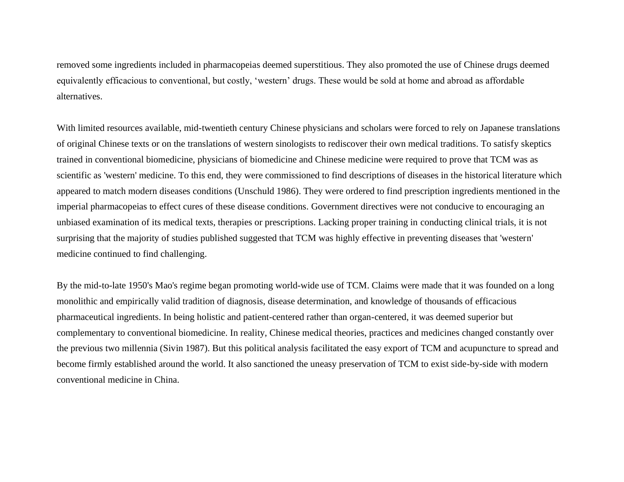removed some ingredients included in pharmacopeias deemed superstitious. They also promoted the use of Chinese drugs deemed equivalently efficacious to conventional, but costly, 'western' drugs. These would be sold at home and abroad as affordable alternatives.

With limited resources available, mid-twentieth century Chinese physicians and scholars were forced to rely on Japanese translations of original Chinese texts or on the translations of western sinologists to rediscover their own medical traditions. To satisfy skeptics trained in conventional biomedicine, physicians of biomedicine and Chinese medicine were required to prove that TCM was as scientific as 'western' medicine. To this end, they were commissioned to find descriptions of diseases in the historical literature which appeared to match modern diseases conditions (Unschuld 1986). They were ordered to find prescription ingredients mentioned in the imperial pharmacopeias to effect cures of these disease conditions. Government directives were not conducive to encouraging an unbiased examination of its medical texts, therapies or prescriptions. Lacking proper training in conducting clinical trials, it is not surprising that the majority of studies published suggested that TCM was highly effective in preventing diseases that 'western' medicine continued to find challenging.

By the mid-to-late 1950's Mao's regime began promoting world-wide use of TCM. Claims were made that it was founded on a long monolithic and empirically valid tradition of diagnosis, disease determination, and knowledge of thousands of efficacious pharmaceutical ingredients. In being holistic and patient-centered rather than organ-centered, it was deemed superior but complementary to conventional biomedicine. In reality, Chinese medical theories, practices and medicines changed constantly over the previous two millennia (Sivin 1987). But this political analysis facilitated the easy export of TCM and acupuncture to spread and become firmly established around the world. It also sanctioned the uneasy preservation of TCM to exist side-by-side with modern conventional medicine in China.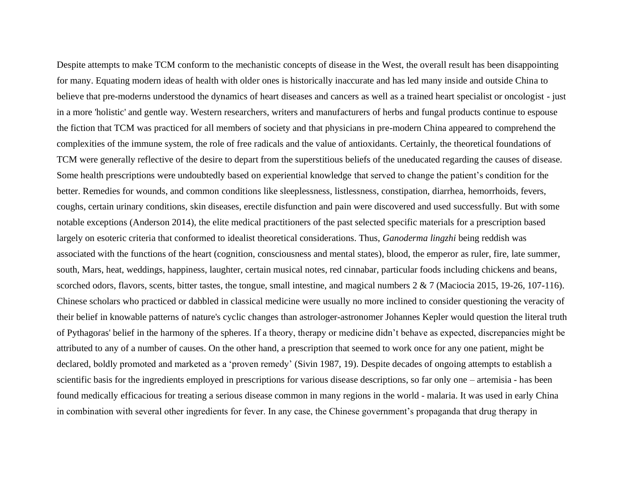Despite attempts to make TCM conform to the mechanistic concepts of disease in the West, the overall result has been disappointing for many. Equating modern ideas of health with older ones is historically inaccurate and has led many inside and outside China to believe that pre-moderns understood the dynamics of heart diseases and cancers as well as a trained heart specialist or oncologist - just in a more 'holistic' and gentle way. Western researchers, writers and manufacturers of herbs and fungal products continue to espouse the fiction that TCM was practiced for all members of society and that physicians in pre-modern China appeared to comprehend the complexities of the immune system, the role of free radicals and the value of antioxidants. Certainly, the theoretical foundations of TCM were generally reflective of the desire to depart from the superstitious beliefs of the uneducated regarding the causes of disease. Some health prescriptions were undoubtedly based on experiential knowledge that served to change the patient's condition for the better. Remedies for wounds, and common conditions like sleeplessness, listlessness, constipation, diarrhea, hemorrhoids, fevers, coughs, certain urinary conditions, skin diseases, erectile disfunction and pain were discovered and used successfully. But with some notable exceptions (Anderson 2014), the elite medical practitioners of the past selected specific materials for a prescription based largely on esoteric criteria that conformed to idealist theoretical considerations. Thus, *Ganoderma lingzhi* being reddish was associated with the functions of the heart (cognition, consciousness and mental states), blood, the emperor as ruler, fire, late summer, south, Mars, heat, weddings, happiness, laughter, certain musical notes, red cinnabar, particular foods including chickens and beans, scorched odors, flavors, scents, bitter tastes, the tongue, small intestine, and magical numbers 2 & 7 (Maciocia 2015, 19-26, 107-116). Chinese scholars who practiced or dabbled in classical medicine were usually no more inclined to consider questioning the veracity of their belief in knowable patterns of nature's cyclic changes than astrologer-astronomer Johannes Kepler would question the literal truth of Pythagoras' belief in the harmony of the spheres. If a theory, therapy or medicine didn't behave as expected, discrepancies might be attributed to any of a number of causes. On the other hand, a prescription that seemed to work once for any one patient, might be declared, boldly promoted and marketed as a 'proven remedy' (Sivin 1987, 19). Despite decades of ongoing attempts to establish a scientific basis for the ingredients employed in prescriptions for various disease descriptions, so far only one – artemisia - has been found medically efficacious for treating a serious disease common in many regions in the world - malaria. It was used in early China in combination with several other ingredients for fever. In any case, the Chinese government's propaganda that drug therapy in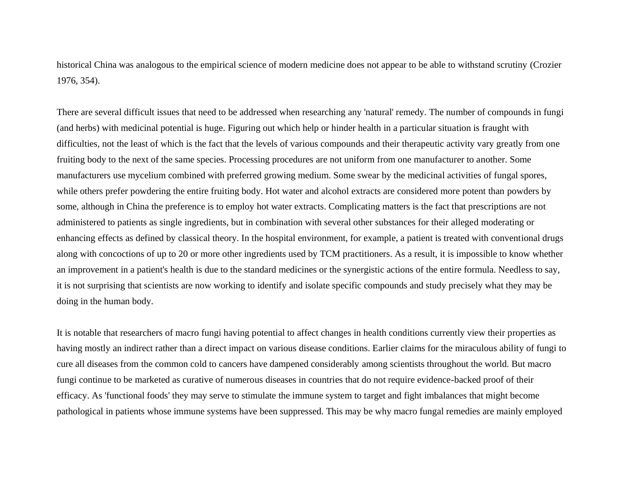historical China was analogous to the empirical science of modern medicine does not appear to be able to withstand scrutiny (Crozier 1976, 354).

There are several difficult issues that need to be addressed when researching any 'natural' remedy. The number of compounds in fungi (and herbs) with medicinal potential is huge. Figuring out which help or hinder health in a particular situation is fraught with difficulties, not the least of which is the fact that the levels of various compounds and their therapeutic activity vary greatly from one fruiting body to the next of the same species. Processing procedures are not uniform from one manufacturer to another. Some manufacturers use mycelium combined with preferred growing medium. Some swear by the medicinal activities of fungal spores, while others prefer powdering the entire fruiting body. Hot water and alcohol extracts are considered more potent than powders by some, although in China the preference is to employ hot water extracts. Complicating matters is the fact that prescriptions are not administered to patients as single ingredients, but in combination with several other substances for their alleged moderating or enhancing effects as defined by classical theory. In the hospital environment, for example, a patient is treated with conventional drugs along with concoctions of up to 20 or more other ingredients used by TCM practitioners. As a result, it is impossible to know whether an improvement in a patient's health is due to the standard medicines or the synergistic actions of the entire formula. Needless to say, it is not surprising that scientists are now working to identify and isolate specific compounds and study precisely what they may be doing in the human body.

It is notable that researchers of macro fungi having potential to affect changes in health conditions currently view their properties as having mostly an indirect rather than a direct impact on various disease conditions. Earlier claims for the miraculous ability of fungi to cure all diseases from the common cold to cancers have dampened considerably among scientists throughout the world. But macro fungi continue to be marketed as curative of numerous diseases in countries that do not require evidence-backed proof of their efficacy. As 'functional foods' they may serve to stimulate the immune system to target and fight imbalances that might become pathological in patients whose immune systems have been suppressed. This may be why macro fungal remedies are mainly employed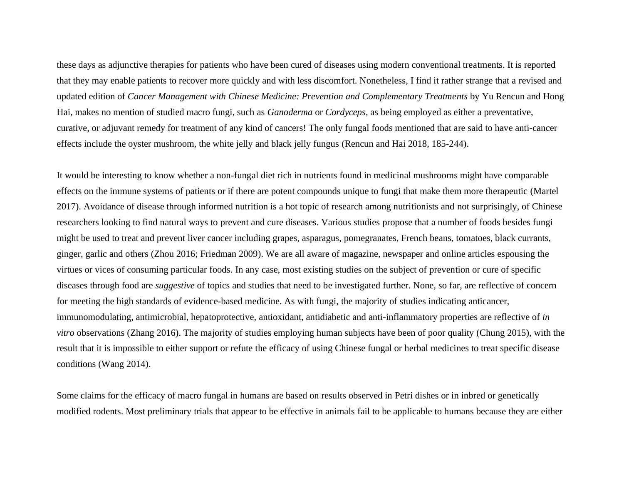these days as adjunctive therapies for patients who have been cured of diseases using modern conventional treatments. It is reported that they may enable patients to recover more quickly and with less discomfort. Nonetheless, I find it rather strange that a revised and updated edition of *Cancer Management with Chinese Medicine: Prevention and Complementary Treatments* by Yu Rencun and Hong Hai, makes no mention of studied macro fungi, such as *Ganoderma* or *Cordyceps,* as being employed as either a preventative, curative, or adjuvant remedy for treatment of any kind of cancers! The only fungal foods mentioned that are said to have anti-cancer effects include the oyster mushroom, the white jelly and black jelly fungus (Rencun and Hai 2018, 185-244).

It would be interesting to know whether a non-fungal diet rich in nutrients found in medicinal mushrooms might have comparable effects on the immune systems of patients or if there are potent compounds unique to fungi that make them more therapeutic (Martel 2017). Avoidance of disease through informed nutrition is a hot topic of research among nutritionists and not surprisingly, of Chinese researchers looking to find natural ways to prevent and cure diseases. Various studies propose that a number of foods besides fungi might be used to treat and prevent liver cancer including grapes, asparagus, pomegranates, French beans, tomatoes, black currants, ginger, garlic and others (Zhou 2016; Friedman 2009). We are all aware of magazine, newspaper and online articles espousing the virtues or vices of consuming particular foods. In any case, most existing studies on the subject of prevention or cure of specific diseases through food are *suggestive* of topics and studies that need to be investigated further. None, so far, are reflective of concern for meeting the high standards of evidence-based medicine. As with fungi, the majority of studies indicating anticancer, immunomodulating, antimicrobial, hepatoprotective, antioxidant, antidiabetic and anti-inflammatory properties are reflective of *in vitro* observations (Zhang 2016). The majority of studies employing human subjects have been of poor quality (Chung 2015), with the result that it is impossible to either support or refute the efficacy of using Chinese fungal or herbal medicines to treat specific disease conditions (Wang 2014).

Some claims for the efficacy of macro fungal in humans are based on results observed in Petri dishes or in inbred or genetically modified rodents. Most preliminary trials that appear to be effective in animals fail to be applicable to humans because they are either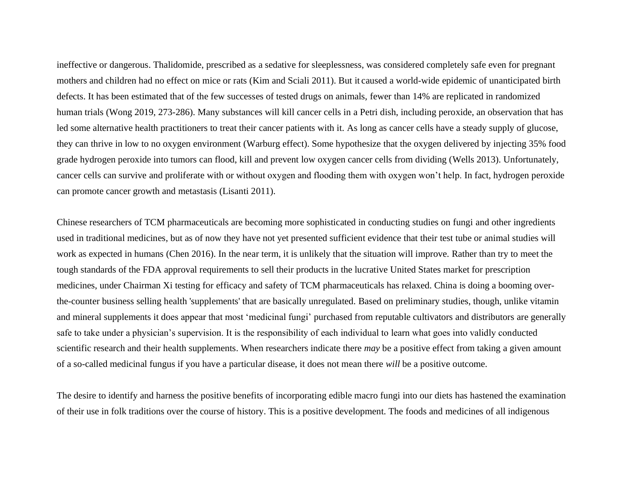ineffective or dangerous. Thalidomide, prescribed as a sedative for sleeplessness, was considered completely safe even for pregnant mothers and children had no effect on mice or rats (Kim and Sciali 2011). But it caused a world-wide epidemic of unanticipated birth defects. It has been estimated that of the few successes of tested drugs on animals, fewer than 14% are replicated in randomized human trials (Wong 2019, 273-286). Many substances will kill cancer cells in a Petri dish, including peroxide, an observation that has led some alternative health practitioners to treat their cancer patients with it. As long as cancer cells have a steady supply of glucose, they can thrive in low to no oxygen environment (Warburg effect). Some hypothesize that the oxygen delivered by injecting 35% food grade hydrogen peroxide into tumors can flood, kill and prevent low oxygen cancer cells from dividing (Wells 2013). Unfortunately, cancer cells can survive and proliferate with or without oxygen and flooding them with oxygen won't help. In fact, hydrogen peroxide can promote cancer growth and metastasis (Lisanti 2011).

Chinese researchers of TCM pharmaceuticals are becoming more sophisticated in conducting studies on fungi and other ingredients used in traditional medicines, but as of now they have not yet presented sufficient evidence that their test tube or animal studies will work as expected in humans (Chen 2016). In the near term, it is unlikely that the situation will improve. Rather than try to meet the tough standards of the FDA approval requirements to sell their products in the lucrative United States market for prescription medicines, under Chairman Xi testing for efficacy and safety of TCM pharmaceuticals has relaxed. China is doing a booming overthe-counter business selling health 'supplements' that are basically unregulated. Based on preliminary studies, though, unlike vitamin and mineral supplements it does appear that most 'medicinal fungi' purchased from reputable cultivators and distributors are generally safe to take under a physician's supervision. It is the responsibility of each individual to learn what goes into validly conducted scientific research and their health supplements. When researchers indicate there *may* be a positive effect from taking a given amount of a so-called medicinal fungus if you have a particular disease, it does not mean there *will* be a positive outcome.

The desire to identify and harness the positive benefits of incorporating edible macro fungi into our diets has hastened the examination of their use in folk traditions over the course of history. This is a positive development. The foods and medicines of all indigenous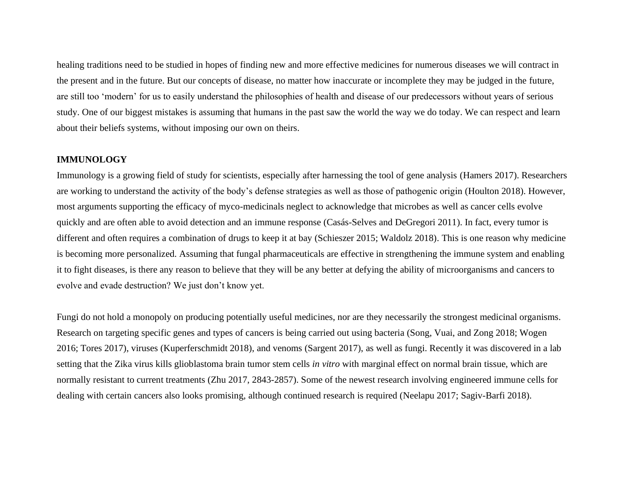healing traditions need to be studied in hopes of finding new and more effective medicines for numerous diseases we will contract in the present and in the future. But our concepts of disease, no matter how inaccurate or incomplete they may be judged in the future, are still too 'modern' for us to easily understand the philosophies of health and disease of our predecessors without years of serious study. One of our biggest mistakes is assuming that humans in the past saw the world the way we do today. We can respect and learn about their beliefs systems, without imposing our own on theirs.

### **IMMUNOLOGY**

Immunology is a growing field of study for scientists, especially after harnessing the tool of gene analysis (Hamers 2017). Researchers are working to understand the activity of the body's defense strategies as well as those of pathogenic origin (Houlton 2018). However, most arguments supporting the efficacy of myco-medicinals neglect to acknowledge that microbes as well as cancer cells evolve quickly and are often able to avoid detection and an immune response (Casás-Selves and DeGregori 2011). In fact, every tumor is different and often requires a combination of drugs to keep it at bay (Schieszer 2015; Waldolz 2018). This is one reason why medicine is becoming more personalized. Assuming that fungal pharmaceuticals are effective in strengthening the immune system and enabling it to fight diseases, is there any reason to believe that they will be any better at defying the ability of microorganisms and cancers to evolve and evade destruction? We just don't know yet.

Fungi do not hold a monopoly on producing potentially useful medicines, nor are they necessarily the strongest medicinal organisms. Research on targeting specific genes and types of cancers is being carried out using bacteria (Song, Vuai, and Zong 2018; Wogen 2016; Tores 2017), viruses (Kuperferschmidt 2018), and venoms (Sargent 2017), as well as fungi. Recently it was discovered in a lab setting that the Zika virus kills glioblastoma brain tumor stem cells *in vitro* with marginal effect on normal brain tissue, which are normally resistant to current treatments (Zhu 2017, 2843-2857). Some of the newest research involving engineered immune cells for dealing with certain cancers also looks promising, although continued research is required (Neelapu 2017; Sagiv-Barfi 2018).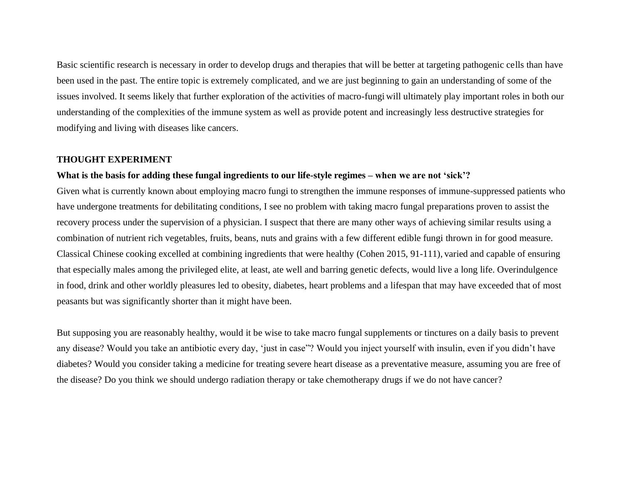Basic scientific research is necessary in order to develop drugs and therapies that will be better at targeting pathogenic cells than have been used in the past. The entire topic is extremely complicated, and we are just beginning to gain an understanding of some of the issues involved. It seems likely that further exploration of the activities of macro-fungi will ultimately play important roles in both our understanding of the complexities of the immune system as well as provide potent and increasingly less destructive strategies for modifying and living with diseases like cancers.

### **THOUGHT EXPERIMENT**

## **What is the basis for adding these fungal ingredients to our life-style regimes – when we are not 'sick'?**

Given what is currently known about employing macro fungi to strengthen the immune responses of immune-suppressed patients who have undergone treatments for debilitating conditions, I see no problem with taking macro fungal preparations proven to assist the recovery process under the supervision of a physician. I suspect that there are many other ways of achieving similar results using a combination of nutrient rich vegetables, fruits, beans, nuts and grains with a few different edible fungi thrown in for good measure. Classical Chinese cooking excelled at combining ingredients that were healthy (Cohen 2015, 91-111), varied and capable of ensuring that especially males among the privileged elite, at least, ate well and barring genetic defects, would live a long life. Overindulgence in food, drink and other worldly pleasures led to obesity, diabetes, heart problems and a lifespan that may have exceeded that of most peasants but was significantly shorter than it might have been.

But supposing you are reasonably healthy, would it be wise to take macro fungal supplements or tinctures on a daily basis to prevent any disease? Would you take an antibiotic every day, 'just in case"? Would you inject yourself with insulin, even if you didn't have diabetes? Would you consider taking a medicine for treating severe heart disease as a preventative measure, assuming you are free of the disease? Do you think we should undergo radiation therapy or take chemotherapy drugs if we do not have cancer?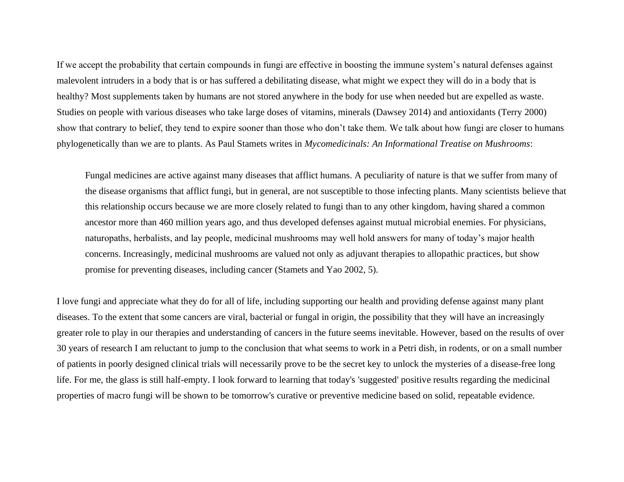If we accept the probability that certain compounds in fungi are effective in boosting the immune system's natural defenses against malevolent intruders in a body that is or has suffered a debilitating disease, what might we expect they will do in a body that is healthy? Most supplements taken by humans are not stored anywhere in the body for use when needed but are expelled as waste. Studies on people with various diseases who take large doses of vitamins, minerals (Dawsey 2014) and antioxidants (Terry 2000) show that contrary to belief, they tend to expire sooner than those who don't take them. We talk about how fungi are closer to humans phylogenetically than we are to plants. As Paul Stamets writes in *Mycomedicinals: An Informational Treatise on Mushrooms*:

Fungal medicines are active against many diseases that afflict humans. A peculiarity of nature is that we suffer from many of the disease organisms that afflict fungi, but in general, are not susceptible to those infecting plants. Many scientists believe that this relationship occurs because we are more closely related to fungi than to any other kingdom, having shared a common ancestor more than 460 million years ago, and thus developed defenses against mutual microbial enemies. For physicians, naturopaths, herbalists, and lay people, medicinal mushrooms may well hold answers for many of today's major health concerns. Increasingly, medicinal mushrooms are valued not only as adjuvant therapies to allopathic practices, but show promise for preventing diseases, including cancer (Stamets and Yao 2002, 5).

I love fungi and appreciate what they do for all of life, including supporting our health and providing defense against many plant diseases. To the extent that some cancers are viral, bacterial or fungal in origin, the possibility that they will have an increasingly greater role to play in our therapies and understanding of cancers in the future seems inevitable. However, based on the results of over 30 years of research I am reluctant to jump to the conclusion that what seems to work in a Petri dish, in rodents, or on a small number of patients in poorly designed clinical trials will necessarily prove to be the secret key to unlock the mysteries of a disease-free long life. For me, the glass is still half-empty. I look forward to learning that today's 'suggested' positive results regarding the medicinal properties of macro fungi will be shown to be tomorrow's curative or preventive medicine based on solid, repeatable evidence.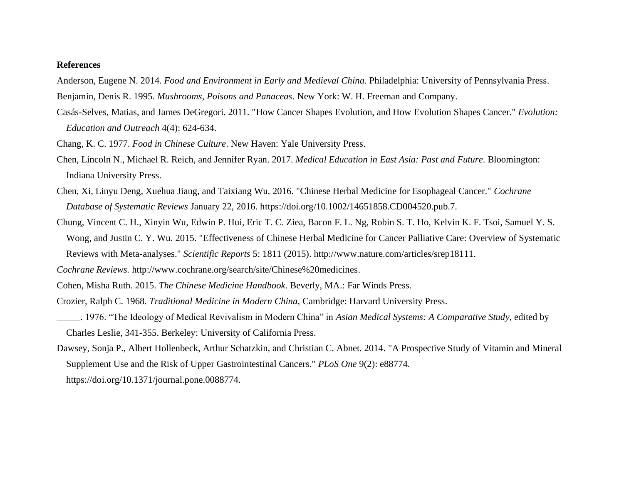### **References**

- Anderson, Eugene N. 2014. *Food and Environment in Early and Medieval China*. Philadelphia: University of Pennsylvania Press.
- Benjamin, Denis R. 1995. *Mushrooms, Poisons and Panaceas*. New York: W. H. Freeman and Company.
- Casás-Selves, Matias, and James DeGregori. 2011. "How Cancer Shapes Evolution, and How Evolution Shapes Cancer." *Evolution: Education and Outreach* 4(4): 624-634.
- Chang, K. C. 1977. *Food in Chinese Culture*. New Haven: Yale University Press.
- Chen, Lincoln N., Michael R. Reich, and Jennifer Ryan. 2017. *Medical Education in East Asia: Past and Future*. Bloomington: Indiana University Press.
- Chen, Xi, Linyu Deng, Xuehua Jiang, and Taixiang Wu. 2016. "Chinese Herbal Medicine for Esophageal Cancer." *Cochrane Database of Systematic Reviews* January 22, 2016. https://doi.org/10.1002/14651858.CD004520.pub.7.
- Chung, Vincent C. H., Xinyin Wu, Edwin P. Hui, Eric T. C. Ziea, Bacon F. L. Ng, Robin S. T. Ho, Kelvin K. F. Tsoi, Samuel Y. S. Wong, and Justin C. Y. Wu. 2015. "Effectiveness of Chinese Herbal Medicine for Cancer Palliative Care: Overview of Systematic Reviews with Meta-analyses." *Scientific Reports* 5: 1811 (2015). http://www.nature.com/articles/srep18111.
- *Cochrane Reviews.* http://www.cochrane.org/search/site/Chinese%20medicines.
- Cohen, Misha Ruth. 2015. *The Chinese Medicine Handbook*. Beverly, MA.: Far Winds Press.
- Crozier, Ralph C. 1968*. Traditional Medicine in Modern China*, Cambridge: Harvard University Press.
- \_\_\_\_\_. 1976. "The Ideology of Medical Revivalism in Modern China" in *Asian Medical Systems: A Comparative Study*, edited by Charles Leslie, 341-355. Berkeley: University of California Press.
- Dawsey, Sonja P., Albert Hollenbeck, Arthur Schatzkin, and Christian C. Abnet. 2014. "A Prospective Study of Vitamin and Mineral Supplement Use and the Risk of Upper Gastrointestinal Cancers." *PLoS One* 9(2): e88774.
	- https://doi.org/10.1371/journal.pone.0088774.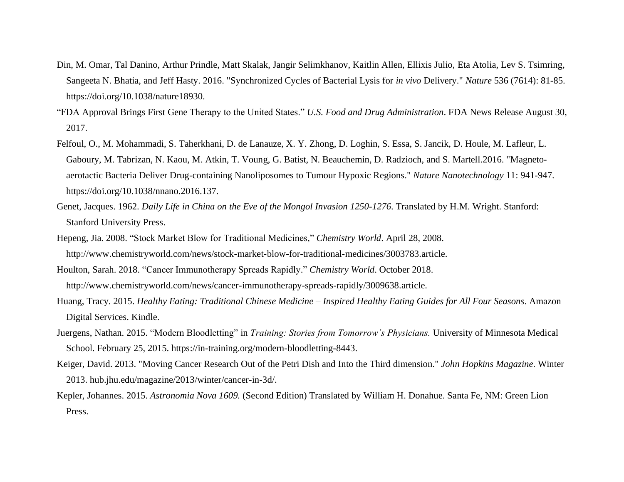- Din, M. Omar, Tal Danino, Arthur Prindle, Matt Skalak, Jangir Selimkhanov, Kaitlin Allen, Ellixis Julio, Eta Atolia, Lev S. Tsimring, Sangeeta N. Bhatia, and Jeff Hasty. 2016. "Synchronized Cycles of Bacterial Lysis for *in vivo* Delivery." *Nature* 536 (7614): 81-85. https://doi.org/10.1038/nature18930.
- "FDA Approval Brings First Gene Therapy to the United States." *U.S. Food and Drug Administration*. FDA News Release August 30, 2017.
- Felfoul, O., M. Mohammadi, S. Taherkhani, D. de Lanauze, X. Y. Zhong, D. Loghin, S. Essa, S. Jancik, D. Houle, M. Lafleur, L. Gaboury, M. Tabrizan, N. Kaou, M. Atkin, T. Voung, G. Batist, N. Beauchemin, D. Radzioch, and S. Martell.2016. "Magnetoaerotactic Bacteria Deliver Drug-containing Nanoliposomes to Tumour Hypoxic Regions." *Nature Nanotechnology* 11: 941-947. https://doi.org/10.1038/nnano.2016.137.
- Genet, Jacques. 1962. *Daily Life in China on the Eve of the Mongol Invasion 1250-1276*. Translated by H.M. Wright. Stanford: Stanford University Press.
- Hepeng, Jia. 2008. "Stock Market Blow for Traditional Medicines," *Chemistry World*. April 28, 2008. http://www.chemistryworld.com/news/stock-market-blow-for-traditional-medicines/3003783.article.
- Houlton, Sarah. 2018. "Cancer Immunotherapy Spreads Rapidly." *Chemistry World*. October 2018. http://www.chemistryworld.com/news/cancer-immunotherapy-spreads-rapidly/3009638.article.
- Huang, Tracy. 2015. *Healthy Eating: Traditional Chinese Medicine – Inspired Healthy Eating Guides for All Four Seasons*. Amazon Digital Services. Kindle.
- Juergens, Nathan. 2015. "Modern Bloodletting" in *Training: Stories from Tomorrow's Physicians.* University of Minnesota Medical School. February 25, 2015. https://in-training.org/modern-bloodletting-8443.
- Keiger, David. 2013. "Moving Cancer Research Out of the Petri Dish and Into the Third dimension." *John Hopkins Magazine*. Winter 2013. hub.jhu.edu/magazine/2013/winter/cancer-in-3d/.
- Kepler, Johannes. 2015. *Astronomia Nova 1609.* (Second Edition) Translated by William H. Donahue. Santa Fe, NM: Green Lion Press.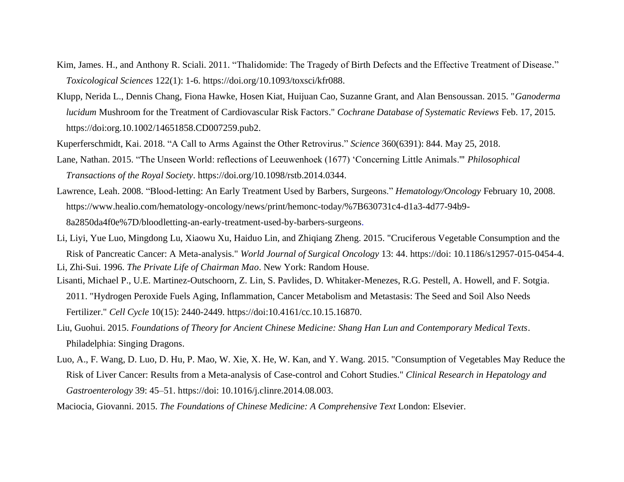- Kim, James. H., and Anthony R. Sciali. 2011. "Thalidomide: The Tragedy of Birth Defects and the Effective Treatment of Disease." *Toxicological Sciences* 122(1): 1-6. https://doi.org/10.1093/toxsci/kfr088.
- Klupp, Nerida L., Dennis Chang, Fiona Hawke, Hosen Kiat, Huijuan Cao, Suzanne Grant, and Alan Bensoussan. 2015. "*Ganoderma lucidum* Mushroom for the Treatment of Cardiovascular Risk Factors." *Cochrane Database of Systematic Reviews* Feb. 17, 2015*.*  https://doi:org.10.1002/14651858.CD007259.pub2.
- Kuperferschmidt, Kai. 2018. "A Call to Arms Against the Other Retrovirus." *Science* 360(6391): 844. May 25, 2018.
- Lane, Nathan. 2015. "The Unseen World: reflections of Leeuwenhoek (1677) 'Concerning Little Animals.'" *Philosophical Transactions of the Royal Society*. https://doi.org/10.1098/rstb.2014.0344.
- Lawrence, Leah. 2008. "Blood-letting: An Early Treatment Used by Barbers, Surgeons." *Hematology/Oncology* February 10, 2008. https://www.healio.com/hematology-oncology/news/print/hemonc-today/%7B630731c4-d1a3-4d77-94b9- 8a2850da4f0e%7D/bloodletting-an-early-treatment-used-by-barbers-surgeons.
- Li, Liyi, Yue Luo, Mingdong Lu, Xiaowu Xu, Haiduo Lin, and Zhiqiang Zheng. 2015. "Cruciferous Vegetable Consumption and the Risk of Pancreatic Cancer: A Meta-analysis." *World Journal of Surgical Oncology* 13: 44. https://doi: 10.1186/s12957-015-0454-4. Li, Zhi-Sui. 1996. *The Private Life of Chairman Mao*. New York: Random House.
- Lisanti, Michael P., U.E. Martinez-Outschoorn, Z. Lin, S. Pavlides, D. Whitaker-Menezes, R.G. Pestell, A. Howell, and F. Sotgia. 2011. "Hydrogen Peroxide Fuels Aging, Inflammation, Cancer Metabolism and Metastasis: The Seed and Soil Also Needs Fertilizer." *Cell Cycle* 10(15): 2440-2449. https://doi:10.4161/cc.10.15.16870.
- Liu, Guohui. 2015. *Foundations of Theory for Ancient Chinese Medicine: Shang Han Lun and Contemporary Medical Texts*. Philadelphia: Singing Dragons.
- Luo, A., F. Wang, D. Luo, D. Hu, P. Mao, W. Xie, X. He, W. Kan, and Y. Wang. 2015. "Consumption of Vegetables May Reduce the Risk of Liver Cancer: Results from a Meta-analysis of Case-control and Cohort Studies." *Clinical Research in Hepatology and Gastroenterology* 39: 45–51. https://doi: 10.1016/j.clinre.2014.08.003.
- Maciocia, Giovanni. 2015. *The Foundations of Chinese Medicine: A Comprehensive Text* London: Elsevier.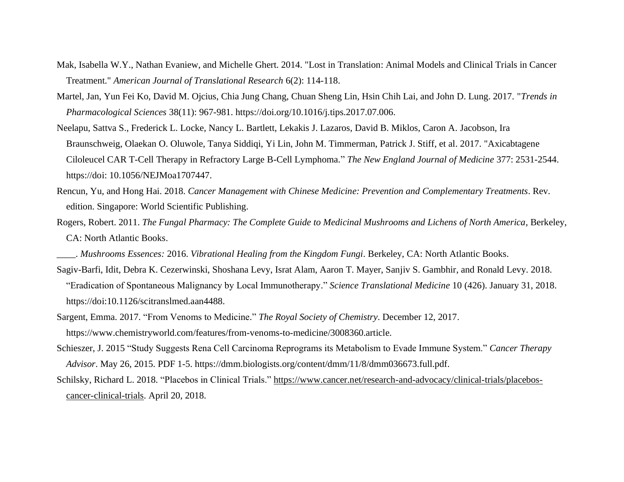- Mak, Isabella W.Y., Nathan Evaniew, and Michelle Ghert. 2014. "Lost in Translation: Animal Models and Clinical Trials in Cancer Treatment." *American Journal of Translational Research* 6(2): 114-118.
- Martel, Jan, Yun Fei Ko, David M. Ojcius, Chia Jung Chang, Chuan Sheng Lin, Hsin Chih Lai, and John D. Lung. 2017. "*Trends in Pharmacological Sciences* 38(11): 967-981. https://doi.org/10.1016/j.tips.2017.07.006.
- Neelapu, Sattva S., Frederick L. Locke, Nancy L. Bartlett, Lekakis J. Lazaros, David B. Miklos, Caron A. Jacobson, Ira Braunschweig, Olaekan O. Oluwole, Tanya Siddiqi, Yi Lin, John M. Timmerman, Patrick J. Stiff, et al. 2017. "Axicabtagene Ciloleucel CAR T-Cell Therapy in Refractory Large B-Cell Lymphoma." *The New England Journal of Medicine* 377: 2531-2544. https://doi: 10.1056/NEJMoa1707447.
- Rencun, Yu, and Hong Hai. 2018. *Cancer Management with Chinese Medicine: Prevention and Complementary Treatments*. Rev. edition. Singapore: World Scientific Publishing.
- Rogers, Robert. 2011. *The Fungal Pharmacy: The Complete Guide to Medicinal Mushrooms and Lichens of North America*, Berkeley, CA: North Atlantic Books.
- \_\_\_\_. *Mushrooms Essences:* 2016. *Vibrational Healing from the Kingdom Fungi*. Berkeley, CA: North Atlantic Books.
- Sagiv-Barfi, Idit, Debra K. Cezerwinski, Shoshana Levy, Israt Alam, Aaron T. Mayer, Sanjiv S. Gambhir, and Ronald Levy. 2018. "Eradication of Spontaneous Malignancy by Local Immunotherapy." *Science Translational Medicine* 10 (426). January 31, 2018. https://doi:10.1126/scitranslmed.aan4488.
- Sargent, Emma. 2017. "From Venoms to Medicine." *The Royal Society of Chemistry*. December 12, 2017. https://www.chemistryworld.com/features/from-venoms-to-medicine/3008360.article.
- Schieszer, J. 2015 "Study Suggests Rena Cell Carcinoma Reprograms its Metabolism to Evade Immune System." *Cancer Therapy Advisor*. May 26, 2015. PDF 1-5. https://dmm.biologists.org/content/dmm/11/8/dmm036673.full.pdf.
- Schilsky, Richard L. 2018. "Placebos in Clinical Trials." [https://www.cancer.net/research-and-advocacy/clinical-trials/placebos](https://www.cancer.net/research-and-advocacy/clinical-trials/placebos-cancer-clinical-trials)[cancer-clinical-trials.](https://www.cancer.net/research-and-advocacy/clinical-trials/placebos-cancer-clinical-trials) April 20, 2018.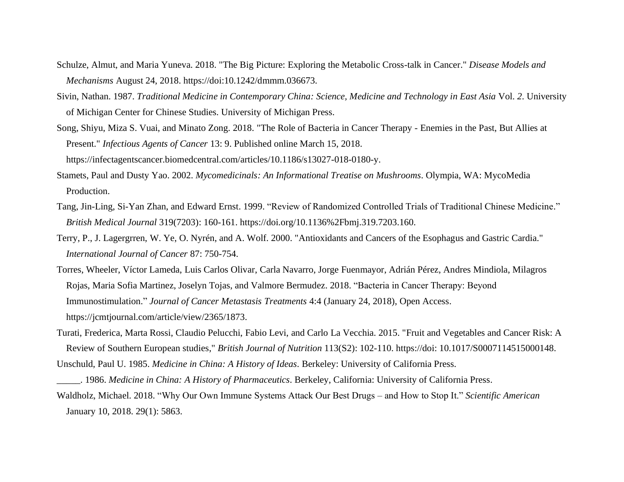- Schulze, Almut, and Maria Yuneva. 2018. "The Big Picture: Exploring the Metabolic Cross-talk in Cancer." *Disease Models and Mechanisms* August 24, 2018. https://doi:10.1242/dmmm.036673.
- Sivin, Nathan. 1987. *Traditional Medicine in Contemporary China: Science, Medicine and Technology in East Asia* Vol. *2*. University of Michigan Center for Chinese Studies. University of Michigan Press.
- Song, Shiyu, Miza S. Vuai, and Minato Zong. 2018. "The Role of Bacteria in Cancer Therapy Enemies in the Past, But Allies at Present." *Infectious Agents of Cancer* 13: 9. Published online March 15, 2018. https://infectagentscancer.biomedcentral.com/articles/10.1186/s13027-018-0180-y.
- Stamets, Paul and Dusty Yao. 2002. *Mycomedicinals: An Informational Treatise on Mushrooms*. Olympia, WA: MycoMedia Production.
- Tang, Jin-Ling, Si-Yan Zhan, and Edward Ernst. 1999. "Review of Randomized Controlled Trials of Traditional Chinese Medicine." *British Medical Journal* 319(7203): 160-161. https://doi.org/10.1136%2Fbmj.319.7203.160.
- Terry, P., J. Lagergrren, W. Ye, O. Nyrén, and A. Wolf. 2000. "Antioxidants and Cancers of the Esophagus and Gastric Cardia." *International Journal of Cancer* 87: 750-754.
- Torres, Wheeler, Víctor Lameda, Luis Carlos Olivar, Carla Navarro, Jorge Fuenmayor, Adrián Pérez, Andres Mindiola, Milagros Rojas, Maria Sofia Martinez, Joselyn Tojas, and Valmore Bermudez. 2018. "Bacteria in Cancer Therapy: Beyond Immunostimulation." *Journal of Cancer Metastasis Treatments* 4:4 (January 24, 2018), Open Access. https://jcmtjournal.com/article/view/2365/1873.
- Turati, Frederica, Marta Rossi, Claudio Pelucchi, Fabio Levi, and Carlo La Vecchia. 2015. "Fruit and Vegetables and Cancer Risk: A Review of Southern European studies," *British Journal of Nutrition* 113(S2): 102-110. https://doi: 10.1017/S0007114515000148. Unschuld, Paul U. 1985. *Medicine in China: A History of Ideas.* Berkeley: University of California Press.
- \_\_\_\_\_. 1986. *Medicine in China: A History of Pharmaceutics*. Berkeley, California: University of California Press. Waldholz, Michael. 2018. "Why Our Own Immune Systems Attack Our Best Drugs – and How to Stop It." *Scientific American* January 10, 2018. 29(1): 5863.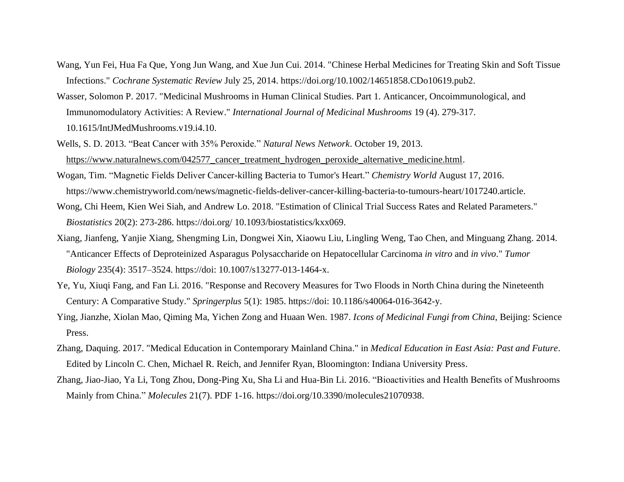- Wang, Yun Fei, Hua Fa Que, Yong Jun Wang, and Xue Jun Cui. 2014. "Chinese Herbal Medicines for Treating Skin and Soft Tissue Infections." *Cochrane Systematic Review* July 25, 2014. https://doi.org/10.1002/14651858.CDo10619.pub2.
- Wasser, Solomon P. 2017. "Medicinal Mushrooms in Human Clinical Studies. Part 1. Anticancer, Oncoimmunological, and Immunomodulatory Activities: A Review." *International Journal of Medicinal Mushrooms* 19 (4). 279-317. 10.1615/IntJMedMushrooms.v19.i4.10.
- Wells, S. D. 2013. "Beat Cancer with 35% Peroxide." *Natural News Network*. October 19, 2013. [https://www.naturalnews.com/042577\\_cancer\\_treatment\\_hydrogen\\_peroxide\\_alternative\\_medicine.html.](https://www.naturalnews.com/042577_cancer_treatment_hydrogen_peroxide_alternative_medicine.html)
- Wogan, Tim. "Magnetic Fields Deliver Cancer-killing Bacteria to Tumor's Heart." *Chemistry World* August 17, 2016. https://www.chemistryworld.com/news/magnetic-fields-deliver-cancer-killing-bacteria-to-tumours-heart/1017240.article.
- Wong, Chi Heem, Kien Wei Siah, and Andrew Lo. 2018. "Estimation of Clinical Trial Success Rates and Related Parameters." *Biostatistics* 20(2): 273-286. https://doi.org/ 10.1093/biostatistics/kxx069.
- Xiang, Jianfeng, Yanjie Xiang, Shengming Lin, Dongwei Xin, Xiaowu Liu, Lingling Weng, Tao Chen, and Minguang Zhang. 2014. "Anticancer Effects of Deproteinized Asparagus Polysaccharide on Hepatocellular Carcinoma *in vitro* and *in vivo*." *Tumor Biology* 235(4): 3517–3524. https://doi: 10.1007/s13277-013-1464-x.
- Ye, Yu, Xiuqi Fang, and Fan Li. 2016. "Response and Recovery Measures for Two Floods in North China during the Nineteenth Century: A Comparative Study." *Springerplus* 5(1): 1985. https://doi: 10.1186/s40064-016-3642-y.
- Ying, Jianzhe, Xiolan Mao, Qiming Ma, Yichen Zong and Huaan Wen. 1987. *Icons of Medicinal Fungi from China*, Beijing: Science Press.
- Zhang, Daquing. 2017. "Medical Education in Contemporary Mainland China." in *Medical Education in East Asia: Past and Future*. Edited by Lincoln C. Chen, Michael R. Reich, and Jennifer Ryan, Bloomington: Indiana University Press.
- Zhang, Jiao-Jiao, Ya Li, Tong Zhou, Dong-Ping Xu, Sha Li and Hua-Bin Li. 2016. "Bioactivities and Health Benefits of Mushrooms Mainly from China." *Molecules* 21(7). PDF 1-16. https://doi.org/10.3390/molecules21070938.